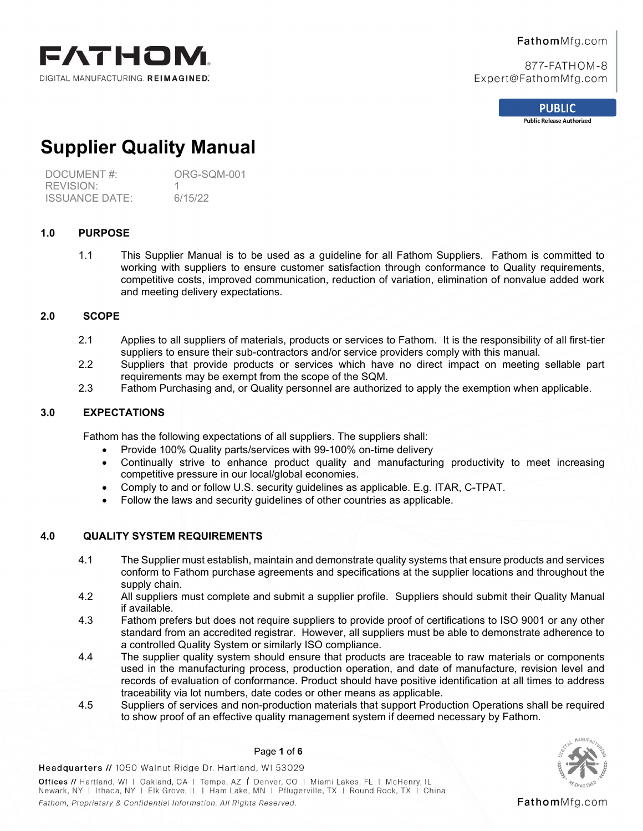

# FathomMfg.com

877-FATHOM-8 Expert@FathomMfg.com

**PUBLIC** 

**Public Release Authorized** 

# **Supplier Quality Manual**

DOCUMENT #: ORG-SQM-001 REVISION: 1 ISSUANCE DATE: 6/15/22

# **1.0 PURPOSE**

1.1 This Supplier Manual is to be used as a guideline for all Fathom Suppliers. Fathom is committed to working with suppliers to ensure customer satisfaction through conformance to Quality requirements, competitive costs, improved communication, reduction of variation, elimination of nonvalue added work and meeting delivery expectations.

# **2.0 SCOPE**

- 2.1 Applies to all suppliers of materials, products or services to Fathom. It is the responsibility of all first-tier suppliers to ensure their sub-contractors and/or service providers comply with this manual.
- 2.2 Suppliers that provide products or services which have no direct impact on meeting sellable part requirements may be exempt from the scope of the SQM.
- 2.3 Fathom Purchasing and, or Quality personnel are authorized to apply the exemption when applicable.

# **3.0 EXPECTATIONS**

Fathom has the following expectations of all suppliers. The suppliers shall:

- Provide 100% Quality parts/services with 99-100% on-time delivery
- Continually strive to enhance product quality and manufacturing productivity to meet increasing competitive pressure in our local/global economies.
- Comply to and or follow U.S. security guidelines as applicable. E.g. ITAR, C-TPAT.
- Follow the laws and security guidelines of other countries as applicable.

# **4.0 QUALITY SYSTEM REQUIREMENTS**

- 4.1 The Supplier must establish, maintain and demonstrate quality systems that ensure products and services conform to Fathom purchase agreements and specifications at the supplier locations and throughout the supply chain.
- 4.2 All suppliers must complete and submit a supplier profile. Suppliers should submit their Quality Manual if available.
- 4.3 Fathom prefers but does not require suppliers to provide proof of certifications to ISO 9001 or any other standard from an accredited registrar. However, all suppliers must be able to demonstrate adherence to a controlled Quality System or similarly ISO compliance.
- 4.4 The supplier quality system should ensure that products are traceable to raw materials or components used in the manufacturing process, production operation, and date of manufacture, revision level and records of evaluation of conformance. Product should have positive identification at all times to address traceability via lot numbers, date codes or other means as applicable.
- 4.5 Suppliers of services and non-production materials that support Production Operations shall be required to show proof of an effective quality management system if deemed necessary by Fathom.



FathomMfg.com

## Page **1** of **6**

Headquarters // 1050 Walnut Ridge Dr. Hartland, WI 53029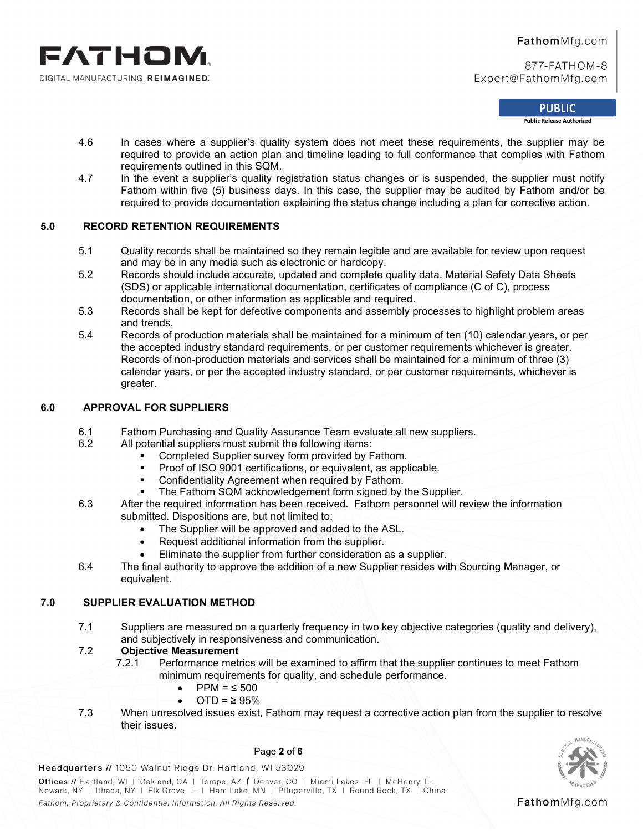

#### **PUBLIC**

**Public Release Authorized** 

- 4.6 In cases where a supplier's quality system does not meet these requirements, the supplier may be required to provide an action plan and timeline leading to full conformance that complies with Fathom requirements outlined in this SQM.
- 4.7 In the event a supplier's quality registration status changes or is suspended, the supplier must notify Fathom within five (5) business days. In this case, the supplier may be audited by Fathom and/or be required to provide documentation explaining the status change including a plan for corrective action.

# **5.0 RECORD RETENTION REQUIREMENTS**

- 5.1 Quality records shall be maintained so they remain legible and are available for review upon request and may be in any media such as electronic or hardcopy.
- 5.2 Records should include accurate, updated and complete quality data. Material Safety Data Sheets (SDS) or applicable international documentation, certificates of compliance (C of C), process documentation, or other information as applicable and required.
- 5.3 Records shall be kept for defective components and assembly processes to highlight problem areas and trends.
- 5.4 Records of production materials shall be maintained for a minimum of ten (10) calendar years, or per the accepted industry standard requirements, or per customer requirements whichever is greater. Records of non-production materials and services shall be maintained for a minimum of three (3) calendar years, or per the accepted industry standard, or per customer requirements, whichever is greater.

## **6.0 APPROVAL FOR SUPPLIERS**

- 6.1 Fathom Purchasing and Quality Assurance Team evaluate all new suppliers.<br>6.2 All potential suppliers must submit the following items:
	- All potential suppliers must submit the following items:
		- Completed Supplier survey form provided by Fathom.
		- Proof of ISO 9001 certifications, or equivalent, as applicable.
		- Confidentiality Agreement when required by Fathom.
		- The Fathom SQM acknowledgement form signed by the Supplier.
- 6.3 After the required information has been received. Fathom personnel will review the information submitted. Dispositions are, but not limited to:
	- The Supplier will be approved and added to the ASL.
	- Request additional information from the supplier.
	- Eliminate the supplier from further consideration as a supplier.
- 6.4 The final authority to approve the addition of a new Supplier resides with Sourcing Manager, or equivalent.

# **7.0 SUPPLIER EVALUATION METHOD**

7.1 Suppliers are measured on a quarterly frequency in two key objective categories (quality and delivery), and subjectively in responsiveness and communication.

# 7.2 **Objective Measurement**

- Performance metrics will be examined to affirm that the supplier continues to meet Fathom minimum requirements for quality, and schedule performance.
	- PPM =  $\leq$  500
		- $\overline{OTD} = 2.95\%$
- 7.3 When unresolved issues exist, Fathom may request a corrective action plan from the supplier to resolve their issues.



Page **2** of **6**

Headquarters // 1050 Walnut Ridge Dr. Hartland, WI 53029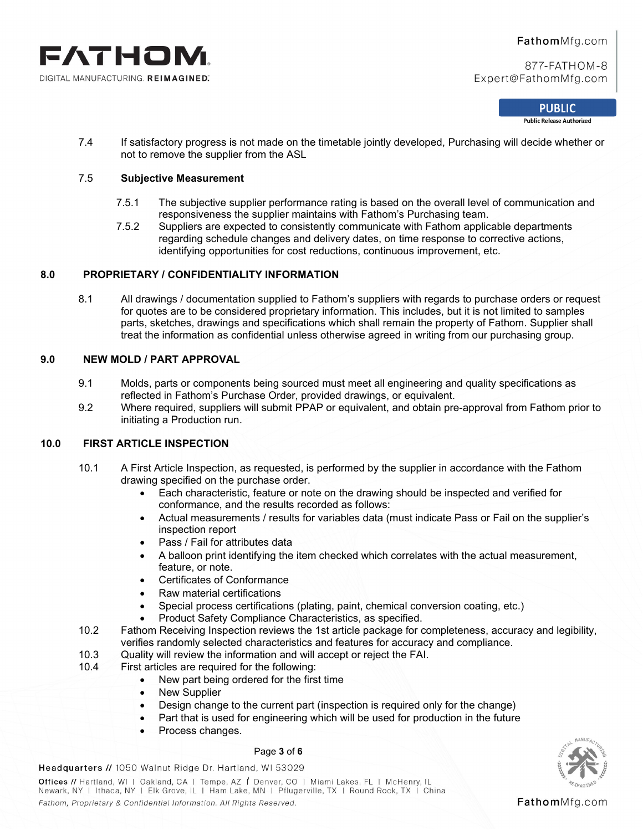

#### **PUBLIC**

**Public Release Authorized** 

7.4 If satisfactory progress is not made on the timetable jointly developed, Purchasing will decide whether or not to remove the supplier from the ASL

#### 7.5 **Subjective Measurement**

- 7.5.1 The subjective supplier performance rating is based on the overall level of communication and responsiveness the supplier maintains with Fathom's Purchasing team.
- 7.5.2 Suppliers are expected to consistently communicate with Fathom applicable departments regarding schedule changes and delivery dates, on time response to corrective actions, identifying opportunities for cost reductions, continuous improvement, etc.

#### **8.0 PROPRIETARY / CONFIDENTIALITY INFORMATION**

8.1 All drawings / documentation supplied to Fathom's suppliers with regards to purchase orders or request for quotes are to be considered proprietary information. This includes, but it is not limited to samples parts, sketches, drawings and specifications which shall remain the property of Fathom. Supplier shall treat the information as confidential unless otherwise agreed in writing from our purchasing group.

## **9.0 NEW MOLD / PART APPROVAL**

- 9.1 Molds, parts or components being sourced must meet all engineering and quality specifications as reflected in Fathom's Purchase Order, provided drawings, or equivalent.
- 9.2 Where required, suppliers will submit PPAP or equivalent, and obtain pre-approval from Fathom prior to initiating a Production run.

## **10.0 FIRST ARTICLE INSPECTION**

- 10.1 A First Article Inspection, as requested, is performed by the supplier in accordance with the Fathom drawing specified on the purchase order.
	- Each characteristic, feature or note on the drawing should be inspected and verified for conformance, and the results recorded as follows:
	- Actual measurements / results for variables data (must indicate Pass or Fail on the supplier's inspection report
	- Pass / Fail for attributes data
	- A balloon print identifying the item checked which correlates with the actual measurement, feature, or note.
	- Certificates of Conformance
	- Raw material certifications
	- Special process certifications (plating, paint, chemical conversion coating, etc.)
	- Product Safety Compliance Characteristics, as specified.
- 10.2 Fathom Receiving Inspection reviews the 1st article package for completeness, accuracy and legibility, verifies randomly selected characteristics and features for accuracy and compliance.
- 10.3 Quality will review the information and will accept or reject the FAI.
- 10.4 First articles are required for the following:
	- New part being ordered for the first time
	- New Supplier
	- Design change to the current part (inspection is required only for the change)
	- Part that is used for engineering which will be used for production in the future
	- Process changes.

#### Page **3** of **6**

Headquarters // 1050 Walnut Ridge Dr. Hartland, WI 53029

Offices // Hartland, WI | Oakland, CA | Tempe, AZ | Denver, CO | Miami Lakes, FL | McHenry, IL Newark, NY | Ithaca, NY | Elk Grove, IL | Ham Lake, MN | Pflugerville, TX | Round Rock, TX | China Fathom, Proprietary & Confidential Information. All Rights Reserved.



FathomMfg.com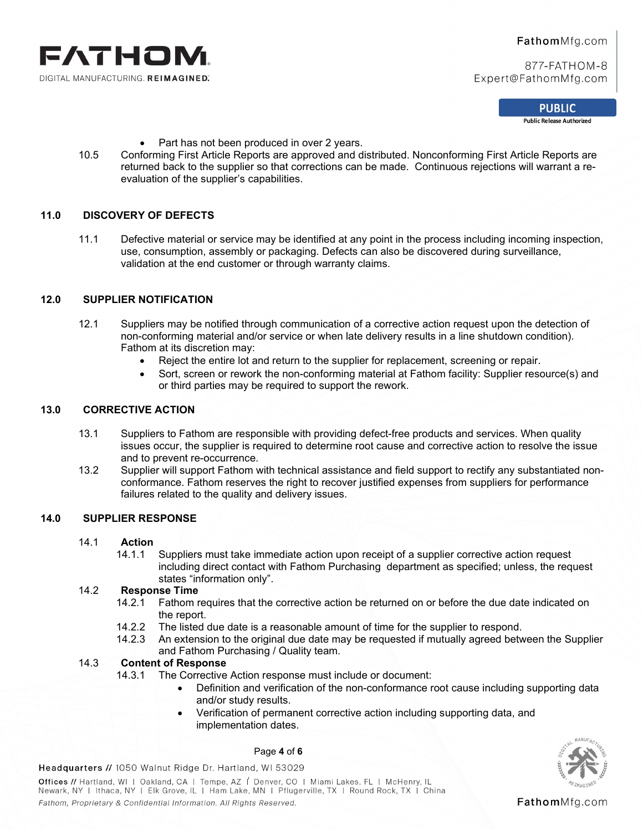

**PUBLIC** 

**Public Release Authorized** 

- Part has not been produced in over 2 years.
- 10.5 Conforming First Article Reports are approved and distributed. Nonconforming First Article Reports are returned back to the supplier so that corrections can be made. Continuous rejections will warrant a reevaluation of the supplier's capabilities.

## **11.0 DISCOVERY OF DEFECTS**

11.1 Defective material or service may be identified at any point in the process including incoming inspection, use, consumption, assembly or packaging. Defects can also be discovered during surveillance, validation at the end customer or through warranty claims.

# **12.0 SUPPLIER NOTIFICATION**

- 12.1 Suppliers may be notified through communication of a corrective action request upon the detection of non-conforming material and/or service or when late delivery results in a line shutdown condition). Fathom at its discretion may:
	- Reject the entire lot and return to the supplier for replacement, screening or repair.
	- Sort, screen or rework the non-conforming material at Fathom facility: Supplier resource(s) and or third parties may be required to support the rework.

## **13.0 CORRECTIVE ACTION**

- 13.1 Suppliers to Fathom are responsible with providing defect-free products and services. When quality issues occur, the supplier is required to determine root cause and corrective action to resolve the issue and to prevent re-occurrence.
- 13.2 Supplier will support Fathom with technical assistance and field support to rectify any substantiated nonconformance. Fathom reserves the right to recover justified expenses from suppliers for performance failures related to the quality and delivery issues.

#### **14.0 SUPPLIER RESPONSE**

# 14.1 **Action**

Suppliers must take immediate action upon receipt of a supplier corrective action request including direct contact with Fathom Purchasing department as specified; unless, the request states "information only".

## 14.2 **Response Time**

- 14.2.1 Fathom requires that the corrective action be returned on or before the due date indicated on the report.
- 14.2.2 The listed due date is a reasonable amount of time for the supplier to respond.
- 14.2.3 An extension to the original due date may be requested if mutually agreed between the Supplier and Fathom Purchasing / Quality team.

## 14.3 **Content of Response**

- 14.3.1 The Corrective Action response must include or document:
	- Definition and verification of the non-conformance root cause including supporting data and/or study results.
	- Verification of permanent corrective action including supporting data, and implementation dates.



Page **4** of **6**

Headquarters // 1050 Walnut Ridge Dr. Hartland, WI 53029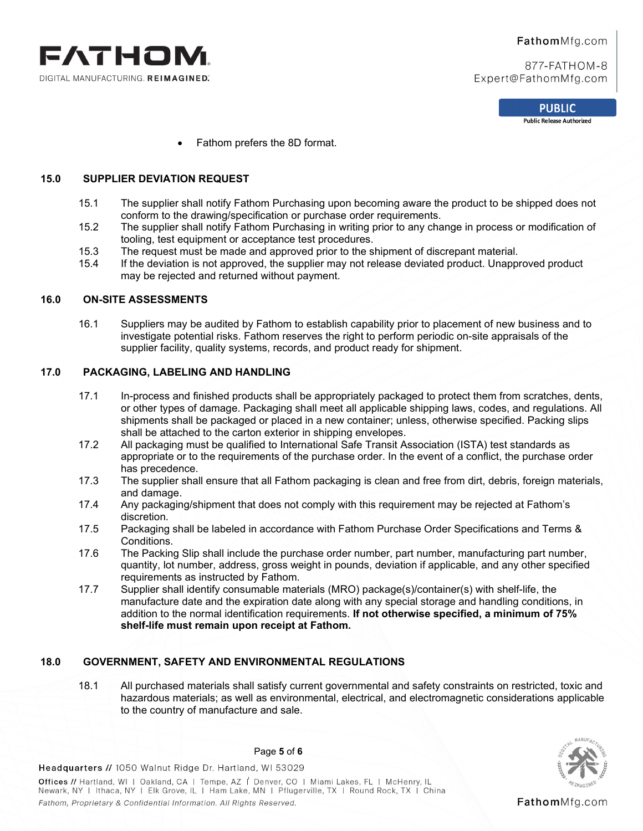

> **PUBLIC Public Release Authorized**

• Fathom prefers the 8D format.

# **15.0 SUPPLIER DEVIATION REQUEST**

- 15.1 The supplier shall notify Fathom Purchasing upon becoming aware the product to be shipped does not conform to the drawing/specification or purchase order requirements.
- 15.2 The supplier shall notify Fathom Purchasing in writing prior to any change in process or modification of tooling, test equipment or acceptance test procedures.
- 15.3 The request must be made and approved prior to the shipment of discrepant material.
- 15.4 If the deviation is not approved, the supplier may not release deviated product. Unapproved product may be rejected and returned without payment.

# **16.0 ON-SITE ASSESSMENTS**

16.1 Suppliers may be audited by Fathom to establish capability prior to placement of new business and to investigate potential risks. Fathom reserves the right to perform periodic on-site appraisals of the supplier facility, quality systems, records, and product ready for shipment.

#### **17.0 PACKAGING, LABELING AND HANDLING**

- 17.1 In-process and finished products shall be appropriately packaged to protect them from scratches, dents, or other types of damage. Packaging shall meet all applicable shipping laws, codes, and regulations. All shipments shall be packaged or placed in a new container; unless, otherwise specified. Packing slips shall be attached to the carton exterior in shipping envelopes.
- 17.2 All packaging must be qualified to International Safe Transit Association (ISTA) test standards as appropriate or to the requirements of the purchase order. In the event of a conflict, the purchase order has precedence.
- 17.3 The supplier shall ensure that all Fathom packaging is clean and free from dirt, debris, foreign materials, and damage.
- 17.4 Any packaging/shipment that does not comply with this requirement may be rejected at Fathom's discretion.
- 17.5 Packaging shall be labeled in accordance with Fathom Purchase Order Specifications and Terms & Conditions.
- 17.6 The Packing Slip shall include the purchase order number, part number, manufacturing part number, quantity, lot number, address, gross weight in pounds, deviation if applicable, and any other specified requirements as instructed by Fathom.
- 17.7 Supplier shall identify consumable materials (MRO) package(s)/container(s) with shelf-life, the manufacture date and the expiration date along with any special storage and handling conditions, in addition to the normal identification requirements. **If not otherwise specified, a minimum of 75% shelf-life must remain upon receipt at Fathom.**

#### **18.0 GOVERNMENT, SAFETY AND ENVIRONMENTAL REGULATIONS**

18.1 All purchased materials shall satisfy current governmental and safety constraints on restricted, toxic and hazardous materials; as well as environmental, electrical, and electromagnetic considerations applicable to the country of manufacture and sale.



FathomMfg.com

Page **5** of **6**

Headquarters // 1050 Walnut Ridge Dr. Hartland, WI 53029